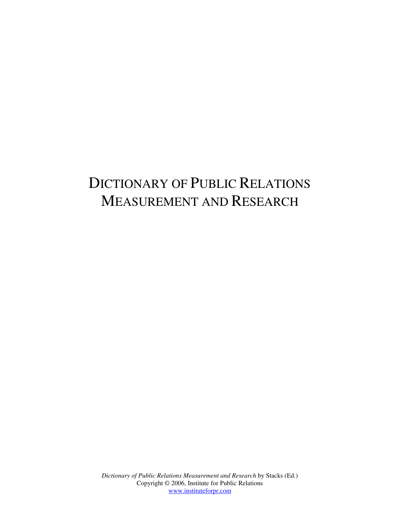# DICTIONARY OF PUBLIC RELATIONS MEASUREMENT AND RESEARCH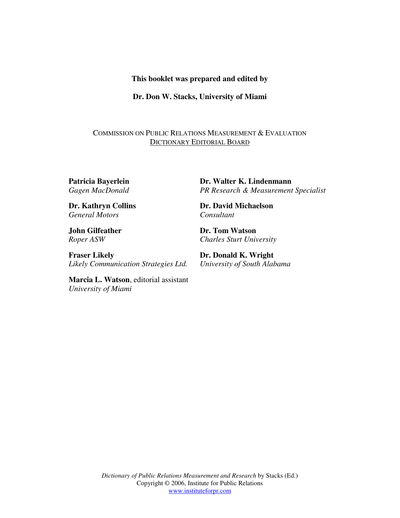#### **This booklet was prepared and edited by**

#### **Dr. Don W. Stacks, University of Miami**

#### COMMISSION ON PUBLIC RELATIONS MEASUREMENT & EVALUATION DICTIONARY EDITORIAL BOARD

**Patricia Bayerlein** *Gagen MacDonald* **Dr. Walter K. Lindenmann** *PR Research & Measurement Specialist*

**Dr. Kathryn Collins** *General Motors*

**John Gilfeather** *Roper ASW*

**Fraser Likely** *Likely Communication Strategies Ltd.*

**Marcia L. Watson**, editorial assistant *University of Miami*

**Dr. David Michaelson** *Consultant*

**Dr. Tom Watson** *Charles Sturt University*

**Dr. Donald K. Wright** *University of South Alabama*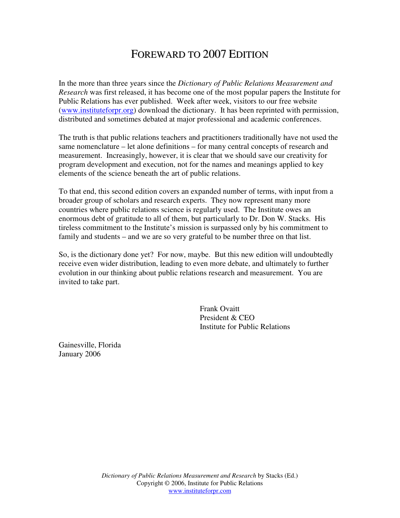### FOREWARD TO 2007 EDITION

In the more than three years since the *Dictionary of Public Relations Measurement and Research* was first released, it has become one of the most popular papers the Institute for Public Relations has ever published. Week after week, visitors to our free website (www.instituteforpr.org) download the dictionary. It has been reprinted with permission, distributed and sometimes debated at major professional and academic conferences.

The truth is that public relations teachers and practitioners traditionally have not used the same nomenclature – let alone definitions – for many central concepts of research and measurement. Increasingly, however, it is clear that we should save our creativity for program development and execution, not for the names and meanings applied to key elements of the science beneath the art of public relations.

To that end, this second edition covers an expanded number of terms, with input from a broader group of scholars and research experts. They now represent many more countries where public relations science is regularly used. The Institute owes an enormous debt of gratitude to all of them, but particularly to Dr. Don W. Stacks. His tireless commitment to the Institute's mission is surpassed only by his commitment to family and students – and we are so very grateful to be number three on that list.

So, is the dictionary done yet? For now, maybe. But this new edition will undoubtedly receive even wider distribution, leading to even more debate, and ultimately to further evolution in our thinking about public relations research and measurement. You are invited to take part.

> Frank Ovaitt President & CEO Institute for Public Relations

Gainesville, Florida January 2006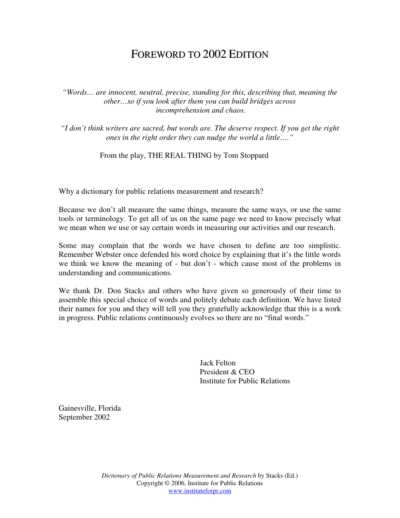### FOREWORD TO 2002 EDITION

*"Words… are innocent, neutral, precise, standing for this, describing that, meaning the other…so if you look after them you can build bridges across incomprehension and chaos.*

*"I don't think writers are sacred, but words are. The deserve respect. If you get the right ones in the right order they can nudge the world a little…."*

From the play, THE REAL THING by Tom Stoppard

Why a dictionary for public relations measurement and research?

Because we don't all measure the same things, measure the same ways, or use the same tools or terminology. To get all of us on the same page we need to know precisely what we mean when we use or say certain words in measuring our activities and our research.

Some may complain that the words we have chosen to define are too simplistic. Remember Webster once defended his word choice by explaining that it's the little words we think we know the meaning of - but don't - which cause most of the problems in understanding and communications.

We thank Dr. Don Stacks and others who have given so generously of their time to assemble this special choice of words and politely debate each definition. We have listed their names for you and they will tell you they gratefully acknowledge that this is a work in progress. Public relations continuously evolves so there are no "final words."

> Jack Felton President & CEO Institute for Public Relations

Gainesville, Florida September 2002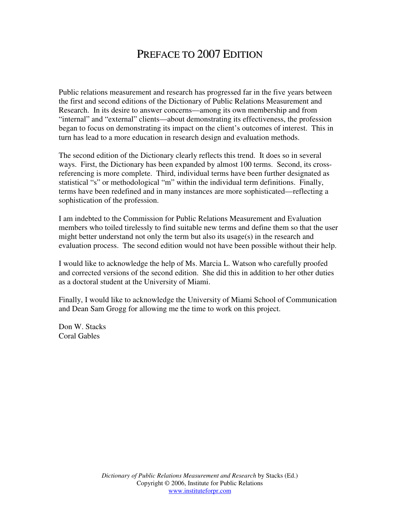### PREFACE TO 2007 EDITION

Public relations measurement and research has progressed far in the five years between the first and second editions of the Dictionary of Public Relations Measurement and Research. In its desire to answer concerns—among its own membership and from "internal" and "external" clients—about demonstrating its effectiveness, the profession began to focus on demonstrating its impact on the client's outcomes of interest. This in turn has lead to a more education in research design and evaluation methods.

The second edition of the Dictionary clearly reflects this trend. It does so in several ways. First, the Dictionary has been expanded by almost 100 terms. Second, its crossreferencing is more complete. Third, individual terms have been further designated as statistical "s" or methodological "m" within the individual term definitions. Finally, terms have been redefined and in many instances are more sophisticated—reflecting a sophistication of the profession.

I am indebted to the Commission for Public Relations Measurement and Evaluation members who toiled tirelessly to find suitable new terms and define them so that the user might better understand not only the term but also its usage(s) in the research and evaluation process. The second edition would not have been possible without their help.

I would like to acknowledge the help of Ms. Marcia L. Watson who carefully proofed and corrected versions of the second edition. She did this in addition to her other duties as a doctoral student at the University of Miami.

Finally, I would like to acknowledge the University of Miami School of Communication and Dean Sam Grogg for allowing me the time to work on this project.

Don W. Stacks Coral Gables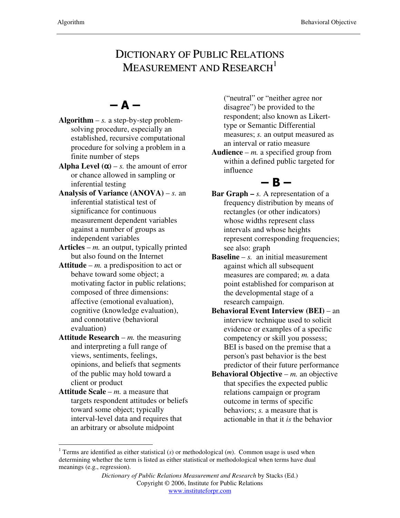### DICTIONARY OF PUBLIC RELATIONS  $\mathbf M$ EASUREMENT AND  $\mathbf R$ ESEARCH $^1$

### $-$  A  $-$

- **Algorithm** *s.* a step-by-step problemsolving procedure, especially an established, recursive computational procedure for solving a problem in a finite number of steps
- **Alpha** Level  $(\alpha)$  *s*. the amount of error or chance allowed in sampling or inferential testing
- **Analysis of Variance (ANOVA)** *s.* an inferential statistical test of significance for continuous measurement dependent variables against a number of groups as independent variables
- **Articles** *m.* an output, typically printed but also found on the Internet
- **Attitude** *m.* a predisposition to act or behave toward some object; a motivating factor in public relations; composed of three dimensions: affective (emotional evaluation), cognitive (knowledge evaluation), and connotative (behavioral evaluation)
- **Attitude Research** *m.* the measuring and interpreting a full range of views, sentiments, feelings, opinions, and beliefs that segments of the public may hold toward a client or product
- **Attitude Scale** *m.* a measure that targets respondent attitudes or beliefs toward some object; typically interval-level data and requires that an arbitrary or absolute midpoint

("neutral" or "neither agree nor disagree") be provided to the respondent; also known as Likerttype or Semantic Differential measures; *s.* an output measured as an interval or ratio measure

**Audience** – *m.* a specified group from within a defined public targeted for influence

### $-$  B  $-$

- **Bar Graph –** *s.* A representation of a frequency distribution by means of rectangles (or other indicators) whose widths represent class intervals and whose heights represent corresponding frequencies; see also: graph
- **Baseline**  $s$ . an initial measurement against which all subsequent measures are compared; *m.* a data point established for comparison at the developmental stage of a research campaign.
- **Behavioral Event Interview (BEI)** an interview technique used to solicit evidence or examples of a specific competency or skill you possess; BEI is based on the premise that a person's past behavior is the best predictor of their future performance
- **Behavioral Objective** *m.* an objective that specifies the expected public relations campaign or program outcome in terms of specific behaviors; *s.* a measure that is actionable in that it *is* the behavior

<sup>1</sup> Terms are identified as either statistical (*s*) or methodological (*m*). Common usage is used when determining whether the term is listed as either statistical or methodological when terms have dual meanings (e.g., regression).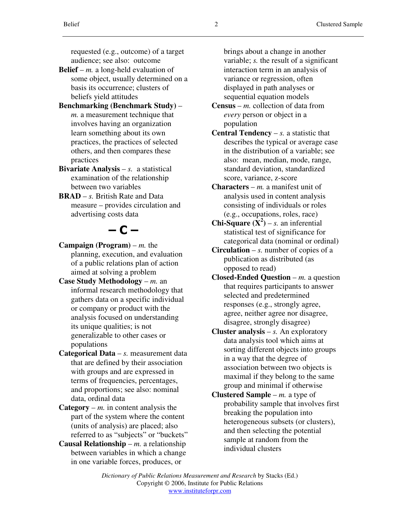requested (e.g., outcome) of a target audience; see also: outcome

- **Belief** *m.* a long-held evaluation of some object, usually determined on a basis its occurrence; clusters of beliefs yield attitudes
- **Benchmarking (Benchmark Study)** *m.* a measurement technique that involves having an organization learn something about its own practices, the practices of selected others, and then compares these practices
- **Bivariate Analysis** *s.* a statistical examination of the relationship between two variables
- **BRAD** *s.* British Rate and Data measure – provides circulation and advertising costs data

### $-$  C  $-$

- **Campaign (Program)** *m.* the planning, execution, and evaluation of a public relations plan of action aimed at solving a problem
- **Case Study Methodology** *m.* an informal research methodology that gathers data on a specific individual or company or product with the analysis focused on understanding its unique qualities; is not generalizable to other cases or populations
- **Categorical Data** *s.* measurement data that are defined by their association with groups and are expressed in terms of frequencies, percentages, and proportions; see also: nominal data, ordinal data
- **Category**  $m$ . in content analysis the part of the system where the content (units of analysis) are placed; also referred to as "subjects" or "buckets"
- **Causal Relationship** *m.* a relationship between variables in which a change in one variable forces, produces, or

brings about a change in another variable; *s.* the result of a significant interaction term in an analysis of variance or regression, often displayed in path analyses or sequential equation models

- **Census** *m.* collection of data from *every* person or object in a population
- **Central Tendency** *s.* a statistic that describes the typical or average case in the distribution of a variable; see also: mean, median, mode, range, standard deviation, standardized score, variance, z-score
- **Characters** *m.* a manifest unit of analysis used in content analysis consisting of individuals or roles (e.g., occupations, roles, race)
- **Chi-Square**  $(X^2)$  *s.* an inferential statistical test of significance for categorical data (nominal or ordinal)
- **Circulation** *s.* number of copies of a publication as distributed (as opposed to read)
- **Closed-Ended Question** *m.* a question that requires participants to answer selected and predetermined responses (e.g., strongly agree, agree, neither agree nor disagree, disagree, strongly disagree)
- **Cluster analysis** *s.* An exploratory data analysis tool which aims at sorting different objects into groups in a way that the degree of association between two objects is maximal if they belong to the same group and minimal if otherwise
- **Clustered Sample** *m.* a type of probability sample that involves first breaking the population into heterogeneous subsets (or clusters), and then selecting the potential sample at random from the individual clusters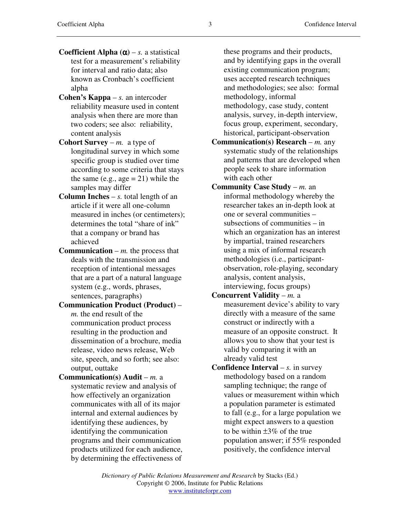#### Coefficient Alpha 3 Confidence Interval

- **Coefficient Alpha**  $(\alpha)$  *s.* a statistical test for a measurement's reliability for interval and ratio data; also known as Cronbach's coefficient alpha
- **Cohen's Kappa** *s.* an intercoder reliability measure used in content analysis when there are more than two coders; see also: reliability, content analysis
- **Cohort Survey** *m.* a type of longitudinal survey in which some specific group is studied over time according to some criteria that stays the same (e.g.,  $age = 21$ ) while the samples may differ
- **Column Inches** *s.* total length of an article if it were all one-column measured in inches (or centimeters); determines the total "share of ink" that a company or brand has achieved
- **Communication** *m.* the process that deals with the transmission and reception of intentional messages that are a part of a natural language system (e.g., words, phrases, sentences, paragraphs)
- **Communication Product (Product)** *m.* the end result of the communication product process resulting in the production and dissemination of a brochure, media release, video news release, Web site, speech, and so forth; see also: output, outtake
- **Communication(s) Audit** *m.* a systematic review and analysis of how effectively an organization communicates with all of its major internal and external audiences by identifying these audiences, by identifying the communication programs and their communication products utilized for each audience, by determining the effectiveness of

these programs and their products, and by identifying gaps in the overall existing communication program; uses accepted research techniques and methodologies; see also: formal methodology, informal methodology, case study, content analysis, survey, in-depth interview, focus group, experiment, secondary, historical, participant-observation

- **Communication(s) Research** *m.* any systematic study of the relationships and patterns that are developed when people seek to share information with each other
- **Community Case Study** *m.* an informal methodology whereby the researcher takes an in-depth look at one or several communities – subsections of communities – in which an organization has an interest by impartial, trained researchers using a mix of informal research methodologies (i.e., participantobservation, role-playing, secondary analysis, content analysis, interviewing, focus groups)
- **Concurrent Validity** *m.* a measurement device's ability to vary directly with a measure of the same construct or indirectly with a measure of an opposite construct. It allows you to show that your test is valid by comparing it with an already valid test
- **Confidence Interval** *s.* in survey methodology based on a random sampling technique; the range of values or measurement within which a population parameter is estimated to fall (e.g., for a large population we might expect answers to a question to be within  $\pm 3\%$  of the true population answer; if 55% responded positively, the confidence interval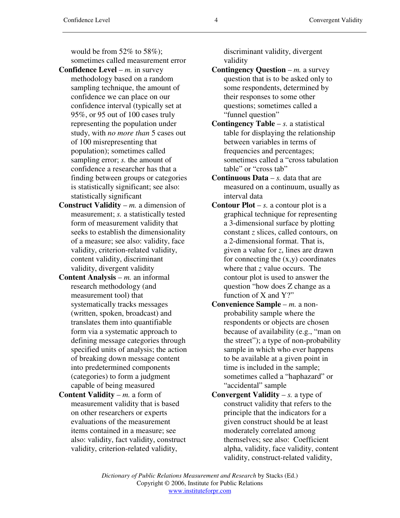would be from 52% to 58%); sometimes called measurement error

- **Confidence Level** *m.* in survey methodology based on a random sampling technique, the amount of confidence we can place on our confidence interval (typically set at 95%, or 95 out of 100 cases truly representing the population under study, with *no more than* 5 cases out of 100 misrepresenting that population); sometimes called sampling error; *s.* the amount of confidence a researcher has that a finding between groups or categories is statistically significant; see also: statistically significant
- **Construct Validity** *m.* a dimension of measurement; *s.* a statistically tested form of measurement validity that seeks to establish the dimensionality of a measure; see also: validity, face validity, criterion-related validity, content validity, discriminant validity, divergent validity
- **Content Analysis** *m.* an informal research methodology (and measurement tool) that systematically tracks messages (written, spoken, broadcast) and translates them into quantifiable form via a systematic approach to defining message categories through specified units of analysis; the action of breaking down message content into predetermined components (categories) to form a judgment capable of being measured
- **Content Validity** *m.* a form of measurement validity that is based on other researchers or experts evaluations of the measurement items contained in a measure; see also: validity, fact validity, construct validity, criterion-related validity,

discriminant validity, divergent validity

- **Contingency Question** *m.* a survey question that is to be asked only to some respondents, determined by their responses to some other questions; sometimes called a "funnel question"
- **Contingency Table** *s.* a statistical table for displaying the relationship between variables in terms of frequencies and percentages; sometimes called a "cross tabulation table" or "cross tab"
- **Continuous Data** *s.* data that are measured on a continuum, usually as interval data
- **Contour Plot** *s.* a contour plot is a graphical technique for representing a 3-dimensional surface by plotting constant *z* slices, called contours, on a 2-dimensional format. That is, given a value for *z*, lines are drawn for connecting the  $(x,y)$  coordinates where that *z* value occurs. The contour plot is used to answer the question "how does Z change as a function of X and Y?"
- **Convenience Sample** *m.* a nonprobability sample where the respondents or objects are chosen because of availability (e.g., "man on the street"); a type of non-probability sample in which who ever happens to be available at a given point in time is included in the sample; sometimes called a "haphazard" or "accidental" sample
- **Convergent Validity** *s.* a type of construct validity that refers to the principle that the indicators for a given construct should be at least moderately correlated among themselves; see also: Coefficient alpha, validity, face validity, content validity, construct-related validity,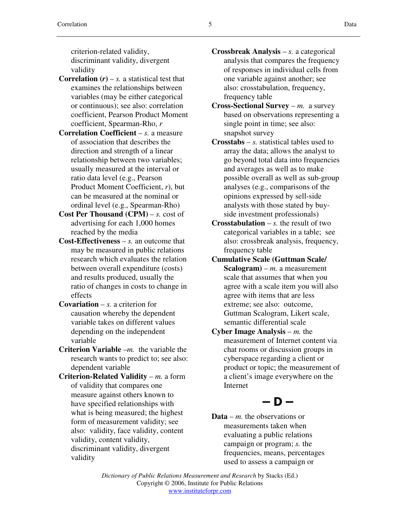criterion-related validity, discriminant validity, divergent

validity

- **Correlation**  $(r)$  *s.* a statistical test that examines the relationships between variables (may be either categorical or continuous); see also: correlation coefficient, Pearson Product Moment coefficient, Spearman-Rho, *r*
- **Correlation Coefficient** *s.* a measure of association that describes the direction and strength of a linear relationship between two variables; usually measured at the interval or ratio data level (e.g., Pearson Product Moment Coefficient, *r*), but can be measured at the nominal or ordinal level (e.g., Spearman-Rho)
- **Cost Per Thousand (CPM)** *s.* cost of advertising for each 1,000 homes reached by the media
- **Cost-Effectiveness** *s.* an outcome that may be measured in public relations research which evaluates the relation between overall expenditure (costs) and results produced, usually the ratio of changes in costs to change in effects
- **Covariation** *s.* a criterion for causation whereby the dependent variable takes on different values depending on the independent variable
- **Criterion Variable** –*m.* the variable the research wants to predict to; see also: dependent variable
- **Criterion-Related Validity** *m.* a form of validity that compares one measure against others known to have specified relationships with what is being measured; the highest form of measurement validity; see also: validity, face validity, content validity, content validity, discriminant validity, divergent validity
- **Crossbreak Analysis** *s.* a categorical analysis that compares the frequency of responses in individual cells from one variable against another; see also: crosstabulation, frequency, frequency table
- **Cross-Sectional Survey** *m.* a survey based on observations representing a single point in time; see also: snapshot survey
- **Crosstabs** *s.* statistical tables used to array the data; allows the analyst to go beyond total data into frequencies and averages as well as to make possible overall as well as sub-group analyses (e.g., comparisons of the opinions expressed by sell-side analysts with those stated by buyside investment professionals)
- **Crosstabulation** *s.* the result of two categorical variables in a table; see also: crossbreak analysis, frequency, frequency table
- **Cumulative Scale (Guttman Scale/ Scalogram)** – *m.* a measurement scale that assumes that when you agree with a scale item you will also agree with items that are less extreme; see also: outcome, Guttman Scalogram, Likert scale, semantic differential scale
- **Cyber Image Analysis** *m.* the measurement of Internet content via chat rooms or discussion groups in cyberspace regarding a client or product or topic; the measurement of a client's image everywhere on the Internet

### – D –

**Data** – *m.* the observations or measurements taken when evaluating a public relations campaign or program; *s.* the frequencies, means, percentages used to assess a campaign or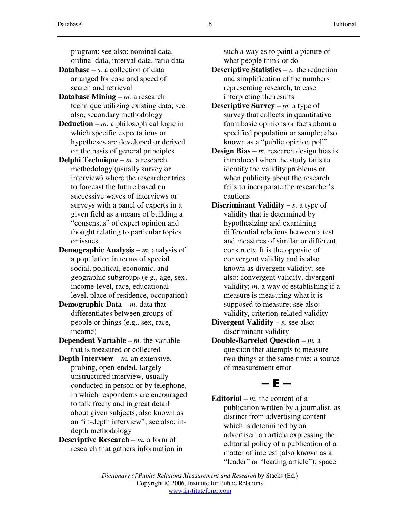program; see also: nominal data, ordinal data, interval data, ratio data

- **Database** *s.* a collection of data arranged for ease and speed of search and retrieval
- **Database Mining** *m.* a research technique utilizing existing data; see also, secondary methodology
- **Deduction** *m.* a philosophical logic in which specific expectations or hypotheses are developed or derived on the basis of general principles
- **Delphi Technique** *m.* a research methodology (usually survey or interview) where the researcher tries to forecast the future based on successive waves of interviews or surveys with a panel of experts in a given field as a means of building a "consensus" of expert opinion and thought relating to particular topics or issues
- **Demographic Analysis** *m.* analysis of a population in terms of special social, political, economic, and geographic subgroups (e.g., age, sex, income-level, race, educationallevel, place of residence, occupation)
- **Demographic Data** *m.* data that differentiates between groups of people or things (e.g., sex, race, income)
- **Dependent Variable** *m.* the variable that is measured or collected
- **Depth Interview** *m.* an extensive, probing, open-ended, largely unstructured interview, usually conducted in person or by telephone, in which respondents are encouraged to talk freely and in great detail about given subjects; also known as an "in-depth interview"; see also: indepth methodology
- **Descriptive Research** *m.* a form of research that gathers information in

such a way as to paint a picture of what people think or do

- **Descriptive Statistics** *s.* the reduction and simplification of the numbers representing research, to ease interpreting the results
- **Descriptive Survey** *m.* a type of survey that collects in quantitative form basic opinions or facts about a specified population or sample; also known as a "public opinion poll"
- **Design Bias** *m.* research design bias is introduced when the study fails to identify the validity problems or when publicity about the research fails to incorporate the researcher's cautions
- **Discriminant Validity** *s.* a type of validity that is determined by hypothesizing and examining differential relations between a test and measures of similar or different construct*s.* It is the opposite of convergent validity and is also known as divergent validity; see also: convergent validity, divergent validity; *m.* a way of establishing if a measure is measuring what it is supposed to measure; see also: validity, criterion-related validity
- **Divergent Validity –** *s.* see also: discriminant validity
- **Double-Barreled Question** *– m.* a question that attempts to measure two things at the same time; a source of measurement error

### $-$  E  $-$

**Editorial** –  $m$ , the content of a publication written by a journalist, as distinct from advertising content which is determined by an advertiser; an article expressing the editorial policy of a publication of a matter of interest (also known as a "leader" or "leading article"); space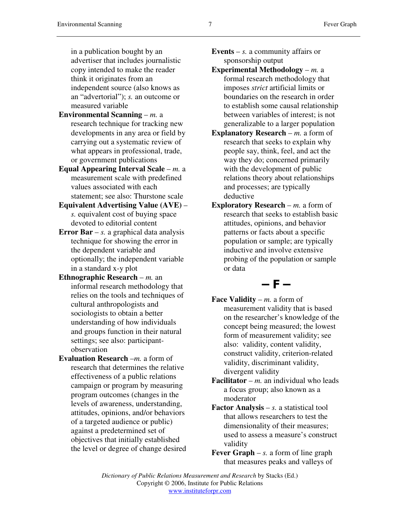in a publication bought by an advertiser that includes journalistic copy intended to make the reader think it originates from an independent source (also knows as an "advertorial"); *s.* an outcome or measured variable

- **Environmental Scanning** *m.* a research technique for tracking new developments in any area or field by carrying out a systematic review of what appears in professional, trade, or government publications
- **Equal Appearing Interval Scale** *m.* a measurement scale with predefined values associated with each statement; see also: Thurstone scale
- **Equivalent Advertising Value (AVE)** *s.* equivalent cost of buying space devoted to editorial content
- **Error Bar** *s.* a graphical data analysis technique for showing the error in the dependent variable and optionally; the independent variable in a standard x-y plot
- **Ethnographic Research** *m.* an informal research methodology that relies on the tools and techniques of cultural anthropologists and sociologists to obtain a better understanding of how individuals and groups function in their natural settings; see also: participantobservation
- **Evaluation Research** –*m.* a form of research that determines the relative effectiveness of a public relations campaign or program by measuring program outcomes (changes in the levels of awareness, understanding, attitudes, opinions, and/or behaviors of a targeted audience or public) against a predetermined set of objectives that initially established the level or degree of change desired
- **Events** *s.* a community affairs or sponsorship output
- **Experimental Methodology** *m.* a formal research methodology that imposes *strict* artificial limits or boundaries on the research in order to establish some causal relationship between variables of interest; is not generalizable to a larger population
- **Explanatory Research** *m.* a form of research that seeks to explain why people say, think, feel, and act the way they do; concerned primarily with the development of public relations theory about relationships and processes; are typically deductive
- **Exploratory Research** *m.* a form of research that seeks to establish basic attitudes, opinions, and behavior patterns or facts about a specific population or sample; are typically inductive and involve extensive probing of the population or sample or data

## $-$  F  $-$

- **Face Validity** *m.* a form of measurement validity that is based on the researcher's knowledge of the concept being measured; the lowest form of measurement validity; see also: validity, content validity, construct validity, criterion-related validity, discriminant validity, divergent validity
- **Facilitator**  $m$ . an individual who leads a focus group; also known as a moderator
- **Factor Analysis** *s.* a statistical tool that allows researchers to test the dimensionality of their measures; used to assess a measure's construct validity
- **Fever Graph** *s.* a form of line graph that measures peaks and valleys of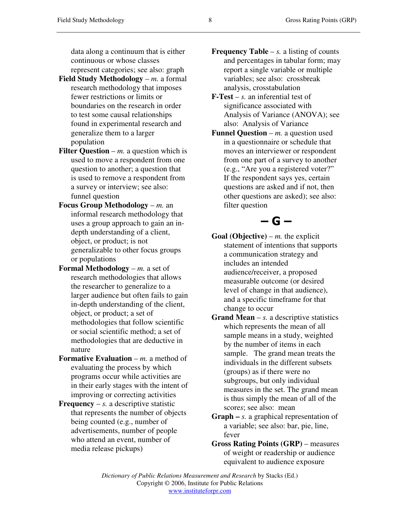data along a continuum that is either continuous or whose classes represent categories; see also: graph

- **Field Study Methodology** *m.* a formal research methodology that imposes fewer restrictions or limits or boundaries on the research in order to test some causal relationships found in experimental research and generalize them to a larger population
- **Filter Question**  $m$ . a question which is used to move a respondent from one question to another; a question that is used to remove a respondent from a survey or interview; see also: funnel question
- **Focus Group Methodology** *m.* an informal research methodology that uses a group approach to gain an indepth understanding of a client, object, or product; is not generalizable to other focus groups or populations
- **Formal Methodology** *m.* a set of research methodologies that allows the researcher to generalize to a larger audience but often fails to gain in-depth understanding of the client, object, or product; a set of methodologies that follow scientific or social scientific method; a set of methodologies that are deductive in nature
- **Formative Evaluation** *m.* a method of evaluating the process by which programs occur while activities are in their early stages with the intent of improving or correcting activities
- **Frequency** *s.* a descriptive statistic that represents the number of objects being counted (e.g., number of advertisements, number of people who attend an event, number of media release pickups)
- **Frequency Table** *s.* a listing of counts and percentages in tabular form; may report a single variable or multiple variables; see also: crossbreak analysis, crosstabulation
- **F-Test** *s.* an inferential test of significance associated with Analysis of Variance (ANOVA); see also: Analysis of Variance
- **Funnel Question** *m.* a question used in a questionnaire or schedule that moves an interviewer or respondent from one part of a survey to another (e.g., "Are you a registered voter?" If the respondent says yes, certain questions are asked and if not, then other questions are asked); see also: filter question

## $-$  G  $-$

- **Goal (Objective)** *m.* the explicit statement of intentions that supports a communication strategy and includes an intended audience/receiver, a proposed measurable outcome (or desired level of change in that audience), and a specific timeframe for that change to occur
- **Grand Mean** *s.* a descriptive statistics which represents the mean of all sample means in a study, weighted by the number of items in each sample. The grand mean treats the individuals in the different subsets (groups) as if there were no subgroups, but only individual measures in the set. The grand mean is thus simply the mean of all of the score*s*; see also: mean
- **Graph –** *s.* a graphical representation of a variable; see also: bar, pie, line, fever
- **Gross Rating Points (GRP)** measures of weight or readership or audience equivalent to audience exposure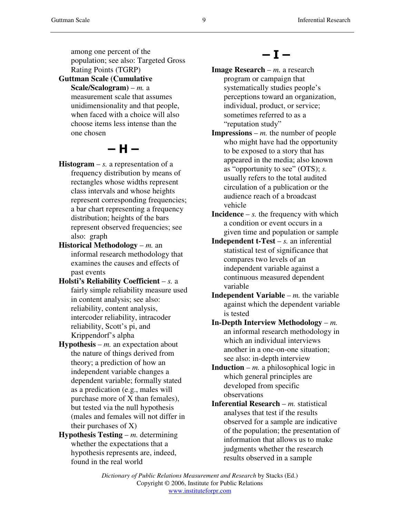#### **Guttman Scale (Cumulative Scale/Scalogram)** – *m.* a

measurement scale that assumes unidimensionality and that people, when faced with a choice will also choose items less intense than the one chosen

### $-$  H  $-$

- **Histogram**  $s$ . a representation of a frequency distribution by means of rectangles whose widths represent class intervals and whose heights represent corresponding frequencies; a bar chart representing a frequency distribution; heights of the bars represent observed frequencies; see also: graph
- **Historical Methodology** *m.* an informal research methodology that examines the causes and effects of past events
- **Holsti's Reliability Coefficient** *s.* a fairly simple reliability measure used in content analysis; see also: reliability, content analysis, intercoder reliability, intracoder reliability, Scott's pi, and Krippendorf's alpha
- **Hypothesis**  $m$ . an expectation about the nature of things derived from theory; a prediction of how an independent variable changes a dependent variable; formally stated as a predication (e.g., males will purchase more of X than females), but tested via the null hypothesis (males and females will not differ in their purchases of X)
- **Hypothesis Testing** *m.* determining whether the expectations that a hypothesis represents are, indeed, found in the real world

## $-1-$

- **Image Research** *m.* a research program or campaign that systematically studies people's perceptions toward an organization, individual, product, or service; sometimes referred to as a "reputation study"
- **Impressions** *m.* the number of people who might have had the opportunity to be exposed to a story that has appeared in the media; also known as "opportunity to see" (OTS); *s.* usually refers to the total audited circulation of a publication or the audience reach of a broadcast vehicle
- **Incidence**  $s$ . the frequency with which a condition or event occurs in a given time and population or sample
- **Independent t-Test** *s.* an inferential statistical test of significance that compares two levels of an independent variable against a continuous measured dependent variable
- **Independent Variable** *m.* the variable against which the dependent variable is tested
- **In-Depth Interview Methodology** *m.* an informal research methodology in which an individual interviews another in a one-on-one situation; see also: in-depth interview
- **Induction** *m.* a philosophical logic in which general principles are developed from specific observations
- **Inferential Research** *m.* statistical analyses that test if the results observed for a sample are indicative of the population; the presentation of information that allows us to make judgments whether the research results observed in a sample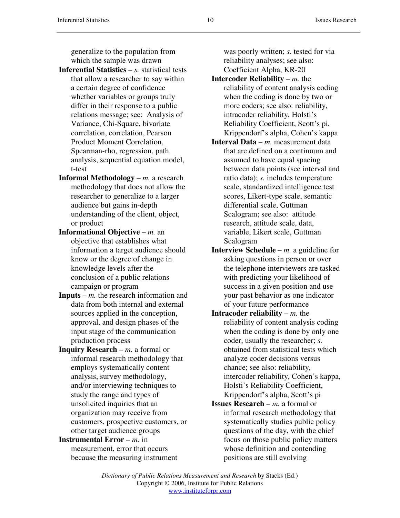generalize to the population from which the sample was drawn

- **Inferential Statistics** *s.* statistical tests that allow a researcher to say within a certain degree of confidence whether variables or groups truly differ in their response to a public relations message; see: Analysis of Variance, Chi-Square, bivariate correlation, correlation, Pearson Product Moment Correlation, Spearman-rho, regression, path analysis, sequential equation model, t-test
- **Informal Methodology** *m.* a research methodology that does not allow the researcher to generalize to a larger audience but gains in-depth understanding of the client, object, or product
- **Informational Objective** *m.* an objective that establishes what information a target audience should know or the degree of change in knowledge levels after the conclusion of a public relations campaign or program
- **Inputs** *m.* the research information and data from both internal and external sources applied in the conception, approval, and design phases of the input stage of the communication production process
- **Inquiry Research** *m.* a formal or informal research methodology that employs systematically content analysis, survey methodology, and/or interviewing techniques to study the range and types of unsolicited inquiries that an organization may receive from customers, prospective customers, or other target audience groups
- **Instrumental Error** *m.* in measurement, error that occurs because the measuring instrument

was poorly written; *s.* tested for via reliability analyses; see also: Coefficient Alpha, KR-20

- **Intercoder Reliability** *m.* the reliability of content analysis coding when the coding is done by two or more coders; see also: reliability, intracoder reliability, Holsti's Reliability Coefficient, Scott's pi, Krippendorf's alpha, Cohen's kappa
- **Interval Data** *m.* measurement data that are defined on a continuum and assumed to have equal spacing between data points (see interval and ratio data); *s.* includes temperature scale, standardized intelligence test scores, Likert-type scale, semantic differential scale, Guttman Scalogram; see also: attitude research, attitude scale, data, variable, Likert scale, Guttman Scalogram
- **Interview Schedule** *m.* a guideline for asking questions in person or over the telephone interviewers are tasked with predicting your likelihood of success in a given position and use your past behavior as one indicator of your future performance
- **Intracoder reliability** *m.* the reliability of content analysis coding when the coding is done by only one coder, usually the researcher; *s.* obtained from statistical tests which analyze coder decisions versus chance; see also: reliability, intercoder reliability, Cohen's kappa, Holsti's Reliability Coefficient, Krippendorf's alpha, Scott's pi
- **Issues Research** *m.* a formal or informal research methodology that systematically studies public policy questions of the day, with the chief focus on those public policy matters whose definition and contending positions are still evolving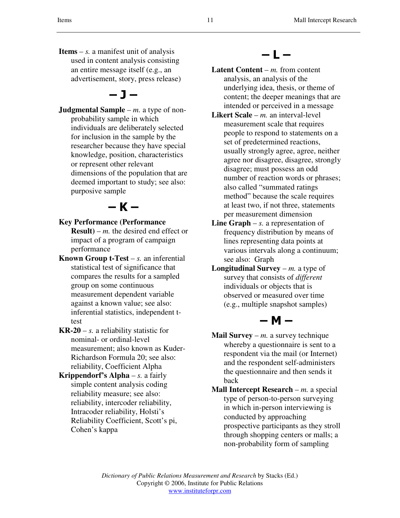**Items** – *s.* a manifest unit of analysis used in content analysis consisting an entire message itself (e.g., an advertisement, story, press release)

### $-$  J  $-$

**Judgmental Sample** – *m.* a type of nonprobability sample in which individuals are deliberately selected for inclusion in the sample by the researcher because they have special knowledge, position, characteristics or represent other relevant dimensions of the population that are deemed important to study; see also: purposive sample

### $-$  K  $-$

#### **Key Performance (Performance Result)** – *m.* the desired end effect or impact of a program of campaign

- performance **Known Group t-Test** – *s.* an inferential statistical test of significance that compares the results for a sampled group on some continuous measurement dependent variable against a known value; see also: inferential statistics, independent ttest
- **KR-20** *s*. a reliability statistic for nominal- or ordinal-level measurement; also known as Kuder-Richardson Formula 20; see also: reliability, Coefficient Alpha
- **Krippendorf's Alpha** *s.* a fairly simple content analysis coding reliability measure; see also: reliability, intercoder reliability, Intracoder reliability, Holsti's Reliability Coefficient, Scott's pi, Cohen's kappa

### $-$  L  $-$

- **Latent Content** *m.* from content analysis, an analysis of the underlying idea, thesis, or theme of content; the deeper meanings that are intended or perceived in a message
- **Likert Scale** *m.* an interval-level measurement scale that requires people to respond to statements on a set of predetermined reactions, usually strongly agree, agree, neither agree nor disagree, disagree, strongly disagree; must possess an odd number of reaction words or phrases; also called "summated ratings method" because the scale requires at least two, if not three, statements per measurement dimension
- **Line Graph** *s.* a representation of frequency distribution by means of lines representing data points at various intervals along a continuum; see also: Graph
- **Longitudinal Survey** *m.* a type of survey that consists of *different* individuals or objects that is observed or measured over time (e.g., multiple snapshot samples)

### $-$  M  $-$

- **Mail Survey** *m.* a survey technique whereby a questionnaire is sent to a respondent via the mail (or Internet) and the respondent self-administers the questionnaire and then sends it back
- **Mall Intercept Research** *m.* a special type of person-to-person surveying in which in-person interviewing is conducted by approaching prospective participants as they stroll through shopping centers or malls; a non-probability form of sampling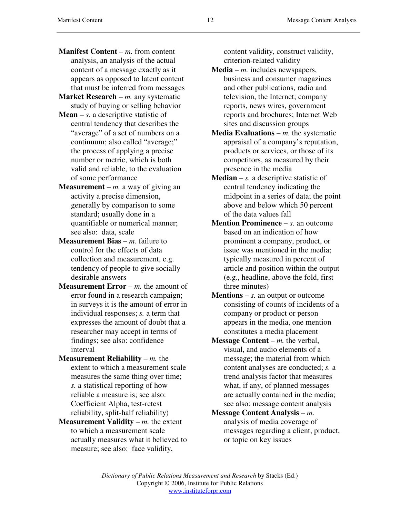- **Manifest Content** *m.* from content analysis, an analysis of the actual content of a message exactly as it appears as opposed to latent content that must be inferred from messages
- **Market Research** *m.* any systematic study of buying or selling behavior
- **Mean**  $s$ . a descriptive statistic of central tendency that describes the "average" of a set of numbers on a continuum; also called "average;" the process of applying a precise number or metric, which is both valid and reliable, to the evaluation of some performance
- **Measurement** *m.* a way of giving an activity a precise dimension, generally by comparison to some standard; usually done in a quantifiable or numerical manner; see also: data, scale
- **Measurement Bias** *m.* failure to control for the effects of data collection and measurement, e.g. tendency of people to give socially desirable answers
- **Measurement Error** *m.* the amount of error found in a research campaign; in surveys it is the amount of error in individual responses; *s.* a term that expresses the amount of doubt that a researcher may accept in terms of findings; see also: confidence interval
- **Measurement Reliability** *m.* the extent to which a measurement scale measures the same thing over time; *s.* a statistical reporting of how reliable a measure is; see also: Coefficient Alpha, test-retest reliability, split-half reliability)
- **Measurement Validity** *m.* the extent to which a measurement scale actually measures what it believed to measure; see also: face validity,

content validity, construct validity, criterion-related validity

- **Media** *m.* includes newspapers, business and consumer magazines and other publications, radio and television, the Internet; company reports, news wires, government reports and brochures; Internet Web sites and discussion groups
- **Media Evaluations**  $m$ . the systematic appraisal of a company's reputation, products or services, or those of its competitors, as measured by their presence in the media
- **Median** *s.* a descriptive statistic of central tendency indicating the midpoint in a series of data; the point above and below which 50 percent of the data values fall
- **Mention Prominence** *s.* an outcome based on an indication of how prominent a company, product, or issue was mentioned in the media; typically measured in percent of article and position within the output (e.g., headline, above the fold, first three minutes)
- **Mentions** *s.* an output or outcome consisting of counts of incidents of a company or product or person appears in the media, one mention constitutes a media placement
- **Message Content** *m.* the verbal, visual, and audio elements of a message; the material from which content analyses are conducted; *s.* a trend analysis factor that measures what, if any, of planned messages are actually contained in the media; see also: message content analysis
- **Message Content Analysis** *m.* analysis of media coverage of messages regarding a client, product, or topic on key issues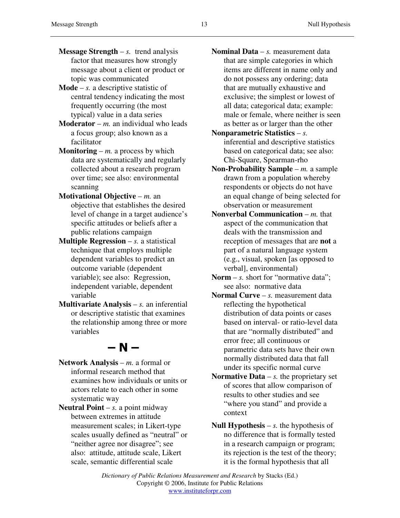**Message Strength** – *s.* trend analysis factor that measures how strongly message about a client or product or topic was communicated

**Mode** – *s.* a descriptive statistic of central tendency indicating the most frequently occurring (the most typical) value in a data series

- **Moderator** *m.* an individual who leads a focus group; also known as a facilitator
- **Monitoring**  $m$ . a process by which data are systematically and regularly collected about a research program over time; see also: environmental scanning
- **Motivational Objective** *m.* an objective that establishes the desired level of change in a target audience's specific attitudes or beliefs after a public relations campaign

**Multiple Regression** – *s.* a statistical technique that employs multiple dependent variables to predict an outcome variable (dependent variable); see also: Regression, independent variable, dependent variable

**Multivariate Analysis** – *s.* an inferential or descriptive statistic that examines the relationship among three or more variables

### $-$  N  $-$

**Network Analysis** – *m.* a formal or informal research method that examines how individuals or units or actors relate to each other in some systematic way

**Neutral Point** – *s.* a point midway between extremes in attitude measurement scales; in Likert-type scales usually defined as "neutral" or "neither agree nor disagree"; see also: attitude, attitude scale, Likert scale, semantic differential scale

**Nominal Data** – *s.* measurement data that are simple categories in which items are different in name only and do not possess any ordering; data that are mutually exhaustive and exclusive; the simplest or lowest of all data; categorical data; example: male or female, where neither is seen as better as or larger than the other

**Nonparametric Statistics** – *s.* inferential and descriptive statistics based on categorical data; see also: Chi-Square, Spearman-rho

**Non-Probability Sample** – *m.* a sample drawn from a population whereby respondents or objects do not have an equal change of being selected for observation or measurement

- **Nonverbal Communication** *m.* that aspect of the communication that deals with the transmission and reception of messages that are **not** a part of a natural language system (e.g., visual, spoken [as opposed to verbal], environmental)
- **Norm** *s.* short for "normative data"; see also: normative data
- **Normal Curve** *s.* measurement data reflecting the hypothetical distribution of data points or cases based on interval- or ratio-level data that are "normally distributed" and error free; all continuous or parametric data sets have their own normally distributed data that fall under its specific normal curve
- **Normative Data**  $s$ . the proprietary set of scores that allow comparison of results to other studies and see "where you stand" and provide a context
- **Null Hypothesis** *s.* the hypothesis of no difference that is formally tested in a research campaign or program; its rejection is the test of the theory; it is the formal hypothesis that all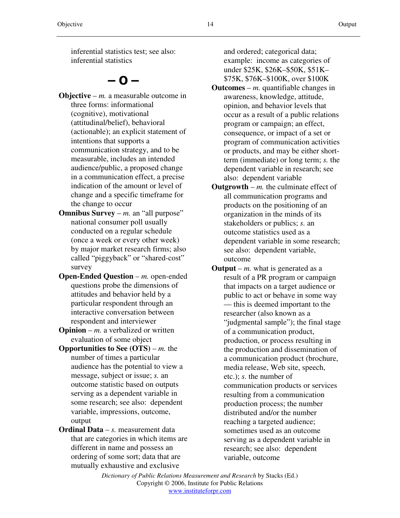inferential statistics test; see also: inferential statistics

### $-$  0  $-$

- **Objective** *m.* a measurable outcome in three forms: informational (cognitive), motivational (attitudinal/belief), behavioral (actionable); an explicit statement of intentions that supports a communication strategy, and to be measurable, includes an intended audience/public, a proposed change in a communication effect, a precise indication of the amount or level of change and a specific timeframe for the change to occur
- **Omnibus Survey**  $m$ . an "all purpose" national consumer poll usually conducted on a regular schedule (once a week or every other week) by major market research firms; also called "piggyback" or "shared-cost" survey
- **Open-Ended Question** *m.* open-ended questions probe the dimensions of attitudes and behavior held by a particular respondent through an interactive conversation between respondent and interviewer
- **Opinion** *m.* a verbalized or written evaluation of some object
- **Opportunities to See (OTS)** *m.* the number of times a particular audience has the potential to view a message, subject or issue; *s.* an outcome statistic based on outputs serving as a dependent variable in some research; see also: dependent variable, impressions, outcome, output
- **Ordinal Data** *s.* measurement data that are categories in which items are different in name and possess an ordering of some sort; data that are mutually exhaustive and exclusive

and ordered; categorical data; example: income as categories of under \$25K, \$26K–\$50K, \$51K– \$75K, \$76K–\$100K, over \$100K

- **Outcomes** *m.* quantifiable changes in awareness, knowledge, attitude, opinion, and behavior levels that occur as a result of a public relations program or campaign; an effect, consequence, or impact of a set or program of communication activities or products, and may be either shortterm (immediate) or long term; *s.* the dependent variable in research; see also: dependent variable
- **Outgrowth**  $m$ . the culminate effect of all communication programs and products on the positioning of an organization in the minds of its stakeholders or publics; *s.* an outcome statistics used as a dependent variable in some research; see also: dependent variable, outcome
- **Output**  $m$ . what is generated as a result of a PR program or campaign that impacts on a target audience or public to act or behave in some way — this is deemed important to the researcher (also known as a "judgmental sample"); the final stage of a communication product, production, or process resulting in the production and dissemination of a communication product (brochure, media release, Web site, speech, etc.); *s.* the number of communication products or services resulting from a communication production process; the number distributed and/or the number reaching a targeted audience; sometimes used as an outcome serving as a dependent variable in research; see also: dependent variable, outcome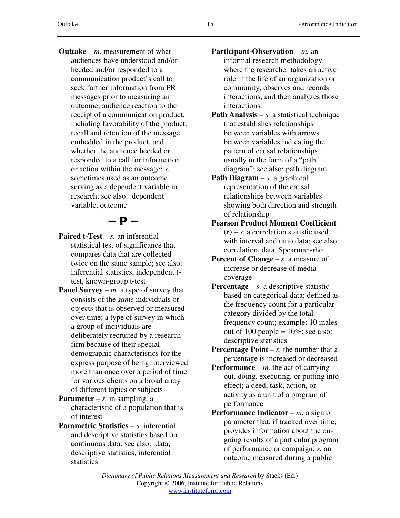**Outtake** – *m.* measurement of what audiences have understood and/or heeded and/or responded to a communication product's call to seek further information from PR messages prior to measuring an outcome; audience reaction to the receipt of a communication product, including favorability of the product, recall and retention of the message embedded in the product, and whether the audience heeded or responded to a call for information or action within the message; *s.* sometimes used as an outcome serving as a dependent variable in

## $-$  P  $-$

research; see also: dependent

variable, outcome

- **Paired t-Test** *s.* an inferential statistical test of significance that compares data that are collected twice on the same sample; see also: inferential statistics, independent ttest, known-group t-test
- **Panel Survey** *m.* a type of survey that consists of the *same* individuals or objects that is observed or measured over time; a type of survey in which a group of individuals are deliberately recruited by a research firm because of their special demographic characteristics for the express purpose of being interviewed more than once over a period of time for various clients on a broad array of different topics or subjects
- **Parameter**  $s$ . in sampling, a characteristic of a population that is of interest
- **Parametric Statistics** *s.* inferential and descriptive statistics based on continuous data; see also: data, descriptive statistics, inferential statistics
- **Participant-Observation** *m.* an informal research methodology where the researcher takes an active role in the life of an organization or community, observes and records interactions, and then analyzes those interactions
- **Path Analysis** *s.* a statistical technique that establishes relationships between variables with arrows between variables indicating the pattern of causal relationships usually in the form of a "path diagram"; see also: path diagram
- **Path Diagram** *s.* a graphical representation of the causal relationships between variables showing both direction and strength of relationship
- **Pearson Product Moment Coefficient (***r***)** – *s.* a correlation statistic used with interval and ratio data; see also: correlation, data, Spearman-rho
- **Percent of Change** *s.* a measure of increase or decrease of media coverage
- **Percentage** *s.* a descriptive statistic based on categorical data; defined as the frequency count for a particular category divided by the total frequency count; example: 10 males out of 100 people =  $10\%$ ; see also: descriptive statistics
- **Percentage Point** *s.* the number that a percentage is increased or decreased
- **Performance** *m.* the act of carryingout, doing, executing, or putting into effect; a deed, task, action, or activity as a unit of a program of performance
- **Performance Indicator** *m.* a sign or parameter that, if tracked over time, provides information about the ongoing results of a particular program of performance or campaign; *s.* an outcome measured during a public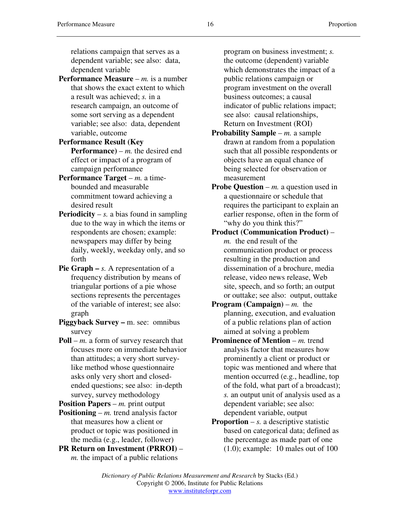relations campaign that serves as a dependent variable; see also: data, dependent variable

- **Performance Measure** *m.* is a number that shows the exact extent to which a result was achieved; *s.* in a research campaign, an outcome of some sort serving as a dependent variable; see also: data, dependent variable, outcome
- **Performance Result (Key Performance)** – *m.* the desired end effect or impact of a program of campaign performance
- **Performance Target** *m.* a timebounded and measurable commitment toward achieving a desired result
- **Periodicity** *s.* a bias found in sampling due to the way in which the items or respondents are chosen; example: newspapers may differ by being daily, weekly, weekday only, and so forth
- **Pie Graph –** *s.* A representation of a frequency distribution by means of triangular portions of a pie whose sections represents the percentages of the variable of interest; see also: graph
- **Piggyback Survey –** m. see: omnibus survey
- **Poll** *m.* a form of survey research that focuses more on immediate behavior than attitudes; a very short surveylike method whose questionnaire asks only very short and closedended questions; see also: in-depth survey, survey methodology

**Position Papers** – *m.* print output

- **Positioning** *m.* trend analysis factor that measures how a client or product or topic was positioned in the media (e.g., leader, follower)
- **PR Return on Investment (PRROI)** *m.* the impact of a public relations

program on business investment; *s.* the outcome (dependent) variable which demonstrates the impact of a public relations campaign or program investment on the overall business outcomes; a causal indicator of public relations impact; see also: causal relationships, Return on Investment (ROI)

- **Probability Sample** *m.* a sample drawn at random from a population such that all possible respondents or objects have an equal chance of being selected for observation or measurement
- **Probe Question** *m.* a question used in a questionnaire or schedule that requires the participant to explain an earlier response, often in the form of "why do you think this?"
- **Product (Communication Product)** *m.* the end result of the communication product or process resulting in the production and dissemination of a brochure, media release, video news release, Web site, speech, and so forth; an output or outtake; see also: output, outtake
- **Program (Campaign)** *m.* the planning, execution, and evaluation of a public relations plan of action aimed at solving a problem
- **Prominence of Mention** *m.* trend analysis factor that measures how prominently a client or product or topic was mentioned and where that mention occurred (e.g., headline, top of the fold, what part of a broadcast); *s.* an output unit of analysis used as a dependent variable; see also: dependent variable, output
- **Proportion**  $s$ . a descriptive statistic based on categorical data; defined as the percentage as made part of one (1.0); example: 10 males out of 100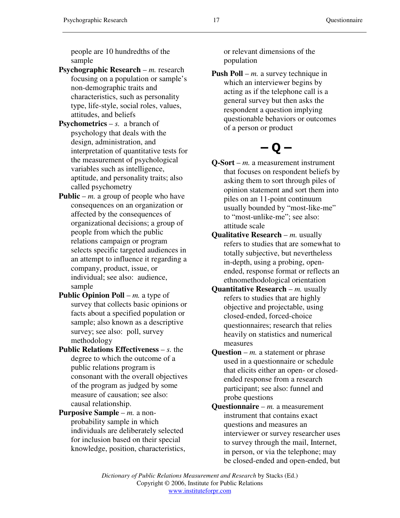people are 10 hundredths of the sample

- **Psychographic Research** *m.* research focusing on a population or sample's non-demographic traits and characteristics, such as personality type, life-style, social roles, values, attitudes, and beliefs
- **Psychometrics**  $s$ . a branch of psychology that deals with the design, administration, and interpretation of quantitative tests for the measurement of psychological variables such as intelligence, aptitude, and personality traits; also called psychometry
- **Public** *m.* a group of people who have consequences on an organization or affected by the consequences of organizational decisions; a group of people from which the public relations campaign or program selects specific targeted audiences in an attempt to influence it regarding a company, product, issue, or individual; see also: audience, sample
- **Public Opinion Poll** *m.* a type of survey that collects basic opinions or facts about a specified population or sample; also known as a descriptive survey; see also: poll, survey methodology
- **Public Relations Effectiveness** *s.* the degree to which the outcome of a public relations program is consonant with the overall objectives of the program as judged by some measure of causation; see also: causal relationship.
- **Purposive Sample** *m.* a nonprobability sample in which individuals are deliberately selected for inclusion based on their special knowledge, position, characteristics,

or relevant dimensions of the population

**Push Poll** – *m.* a survey technique in which an interviewer begins by acting as if the telephone call is a general survey but then asks the respondent a question implying questionable behaviors or outcomes of a person or product

# – Q –

- **Q-Sort** *m.* a measurement instrument that focuses on respondent beliefs by asking them to sort through piles of opinion statement and sort them into piles on an 11-point continuum usually bounded by "most-like-me" to "most-unlike-me"; see also: attitude scale
- **Qualitative Research** *m.* usually refers to studies that are somewhat to totally subjective, but nevertheless in-depth, using a probing, openended, response format or reflects an ethnomethodological orientation
- **Quantitative Research** *m.* usually refers to studies that are highly objective and projectable, using closed-ended, forced-choice questionnaires; research that relies heavily on statistics and numerical measures
- **Question**  $m$ . a statement or phrase used in a questionnaire or schedule that elicits either an open- or closedended response from a research participant; see also: funnel and probe questions
- **Questionnaire** *m.* a measurement instrument that contains exact questions and measures an interviewer or survey researcher uses to survey through the mail, Internet, in person, or via the telephone; may be closed-ended and open-ended, but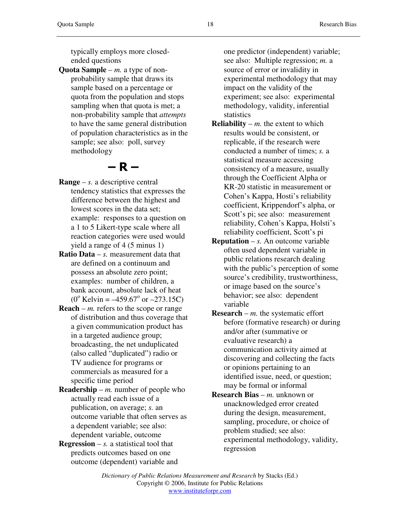typically employs more closedended questions

**Quota Sample** – *m.* a type of nonprobability sample that draws its sample based on a percentage or quota from the population and stops sampling when that quota is met; a non-probability sample that *attempts* to have the same general distribution of population characteristics as in the sample; see also: poll, survey methodology

### $-$  R  $-$

- **Range** *s.* a descriptive central tendency statistics that expresses the difference between the highest and lowest scores in the data set; example: responses to a question on a 1 to 5 Likert-type scale where all reaction categories were used would yield a range of 4 (5 minus 1)
- **Ratio Data** *s.* measurement data that are defined on a continuum and possess an absolute zero point; examples: number of children, a bank account, absolute lack of heat  $(0^{\circ}$  Kelvin = -459.67° or -273.15C)
- **Reach** *m.* refers to the scope or range of distribution and thus coverage that a given communication product has in a targeted audience group; broadcasting, the net unduplicated (also called "duplicated") radio or TV audience for programs or commercials as measured for a specific time period
- **Readership**  $m$ . number of people who actually read each issue of a publication, on average; *s.* an outcome variable that often serves as a dependent variable; see also: dependent variable, outcome
- **Regression** *s.* a statistical tool that predicts outcomes based on one outcome (dependent) variable and

one predictor (independent) variable; see also: Multiple regression; *m.* a source of error or invalidity in experimental methodology that may impact on the validity of the experiment; see also: experimental methodology, validity, inferential statistics

- **Reliability**  $m$ . the extent to which results would be consistent, or replicable, if the research were conducted a number of times; *s.* a statistical measure accessing consistency of a measure, usually through the Coefficient Alpha or KR-20 statistic in measurement or Cohen's Kappa, Hosti's reliability coefficient, Krippendorf's alpha, or Scott's pi; see also: measurement reliability, Cohen's Kappa, Holsti's reliability coefficient, Scott's pi
- **Reputation** *s.* An outcome variable often used dependent variable in public relations research dealing with the public's perception of some source's credibility, trustworthiness, or image based on the source's behavior; see also: dependent variable
- **Research**  $m$ . the systematic effort before (formative research) or during and/or after (summative or evaluative research) a communication activity aimed at discovering and collecting the facts or opinions pertaining to an identified issue, need, or question; may be formal or informal
- **Research Bias** *m.* unknown or unacknowledged error created during the design, measurement, sampling, procedure, or choice of problem studied; see also: experimental methodology, validity, regression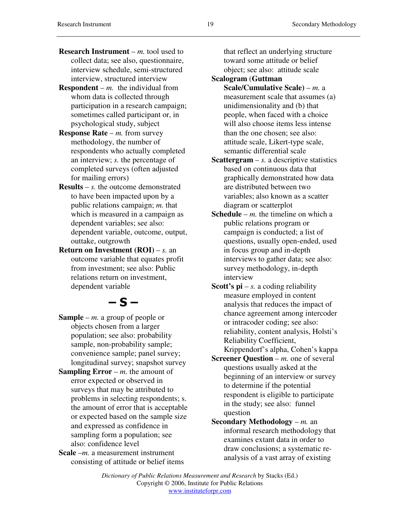#### Research Instrument 19 19 Secondary Methodology

- **Research Instrument** *m.* tool used to collect data; see also, questionnaire, interview schedule, semi-structured interview, structured interview
- **Respondent**  $m$ . the individual from whom data is collected through participation in a research campaign; sometimes called participant or, in psychological study, subject
- **Response Rate** *m.* from survey methodology, the number of respondents who actually completed an interview; *s.* the percentage of completed surveys (often adjusted for mailing errors)
- **Results** *s.* the outcome demonstrated to have been impacted upon by a public relations campaign; *m.* that which is measured in a campaign as dependent variables; see also: dependent variable, outcome, output, outtake, outgrowth
- **Return on Investment (ROI)** *s.* an outcome variable that equates profit from investment; see also: Public relations return on investment, dependent variable

### – S –

- **Sample** *m.* a group of people or objects chosen from a larger population; see also: probability sample, non-probability sample; convenience sample; panel survey; longitudinal survey; snapshot survey
- **Sampling Error** *m.* the amount of error expected or observed in surveys that may be attributed to problems in selecting respondents; s. the amount of error that is acceptable or expected based on the sample size and expressed as confidence in sampling form a population; see also: confidence level
- **Scale** –*m.* a measurement instrument consisting of attitude or belief items

that reflect an underlying structure toward some attitude or belief object; see also: attitude scale

#### **Scalogram** (**Guttman**

- **Scale/Cumulative Scale)** *m.* a measurement scale that assumes (a) unidimensionality and (b) that people, when faced with a choice will also choose items less intense than the one chosen; see also: attitude scale, Likert-type scale, semantic differential scale
- **Scattergram** *s.* a descriptive statistics based on continuous data that graphically demonstrated how data are distributed between two variables; also known as a scatter diagram or scatterplot
- **Schedule**  $m$ . the timeline on which a public relations program or campaign is conducted; a list of questions, usually open-ended, used in focus group and in-depth interviews to gather data; see also: survey methodology, in-depth interview
- **Scott's pi** *s.* a coding reliability measure employed in content analysis that reduces the impact of chance agreement among intercoder or intracoder coding; see also: reliability, content analysis, Holsti's Reliability Coefficient, Krippendorf's alpha, Cohen's kappa
- **Screener Question** *m.* one of several questions usually asked at the beginning of an interview or survey to determine if the potential respondent is eligible to participate in the study; see also: funnel question
- **Secondary Methodology** *m.* an informal research methodology that examines extant data in order to draw conclusions; a systematic reanalysis of a vast array of existing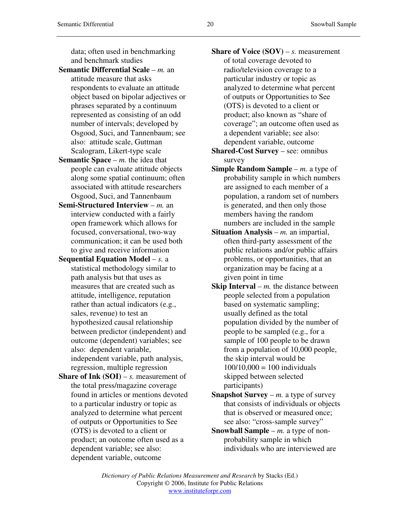data; often used in benchmarking and benchmark studies

- **Semantic Differential Scale** *m.* an attitude measure that asks respondents to evaluate an attitude object based on bipolar adjectives or phrases separated by a continuum represented as consisting of an odd number of intervals; developed by Osgood, Suci, and Tannenbaum; see also: attitude scale, Guttman Scalogram, Likert-type scale
- **Semantic Space** *m.* the idea that people can evaluate attitude objects along some spatial continuum; often associated with attitude researchers Osgood, Suci, and Tannenbaum
- **Semi-Structured Interview** *m.* an interview conducted with a fairly open framework which allows for focused, conversational, two-way communication; it can be used both to give and receive information
- **Sequential Equation Model** *s.* a statistical methodology similar to path analysis but that uses as measures that are created such as attitude, intelligence, reputation rather than actual indicators (e.g., sales, revenue) to test an hypothesized causal relationship between predictor (independent) and outcome (dependent) variables; see also: dependent variable, independent variable, path analysis, regression, multiple regression
- **Share of Ink (SOI)** *s.* measurement of the total press/magazine coverage found in articles or mentions devoted to a particular industry or topic as analyzed to determine what percent of outputs or Opportunities to See (OTS) is devoted to a client or product; an outcome often used as a dependent variable; see also: dependent variable, outcome

**Share of Voice (SOV)** – *s.* measurement of total coverage devoted to radio/television coverage to a particular industry or topic as analyzed to determine what percent of outputs or Opportunities to See (OTS) is devoted to a client or product; also known as "share of coverage"; an outcome often used as a dependent variable; see also: dependent variable, outcome

- **Shared-Cost Survey** see: omnibus survey
- **Simple Random Sample** *m.* a type of probability sample in which numbers are assigned to each member of a population, a random set of numbers is generated, and then only those members having the random numbers are included in the sample
- **Situation Analysis** *m.* an impartial, often third-party assessment of the public relations and/or public affairs problems, or opportunities, that an organization may be facing at a given point in time
- **Skip Interval** *m.* the distance between people selected from a population based on systematic sampling; usually defined as the total population divided by the number of people to be sampled (e.g., for a sample of 100 people to be drawn from a population of 10,000 people, the skip interval would be  $100/10,000 = 100$  individuals skipped between selected participants)
- **Snapshot Survey** *m.* a type of survey that consists of individuals or objects that is observed or measured once; see also: "cross-sample survey"
- **Snowball Sample** *m.* a type of nonprobability sample in which individuals who are interviewed are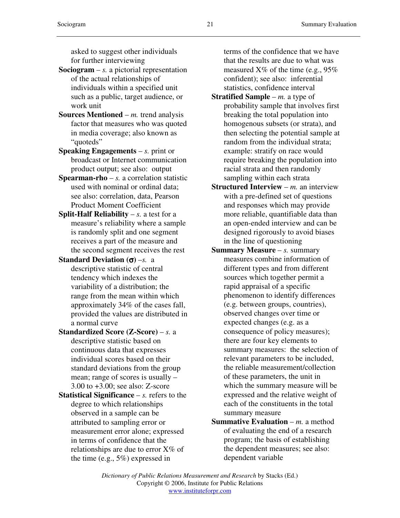asked to suggest other individuals for further interviewing

- **Sociogram** *s.* a pictorial representation of the actual relationships of individuals within a specified unit such as a public, target audience, or work unit
- **Sources Mentioned** *m.* trend analysis factor that measures who was quoted in media coverage; also known as "quoteds"
- **Speaking Engagements** *s.* print or broadcast or Internet communication product output; see also: output
- **Spearman-rho** *s.* a correlation statistic used with nominal or ordinal data; see also: correlation, data, Pearson Product Moment Coefficient
- **Split-Half Reliability** *s.* a test for a measure's reliability where a sample is randomly split and one segment receives a part of the measure and the second segment receives the rest
- **Standard Deviation (**σ**)** –*s.* a descriptive statistic of central tendency which indexes the variability of a distribution; the range from the mean within which approximately 34% of the cases fall, provided the values are distributed in a normal curve
- **Standardized Score (Z-Score)** *s.* a descriptive statistic based on continuous data that expresses individual scores based on their standard deviations from the group mean; range of scores is usually – 3.00 to +3.00; see also: Z-score
- **Statistical Significance** *s.* refers to the degree to which relationships observed in a sample can be attributed to sampling error or measurement error alone; expressed in terms of confidence that the relationships are due to error  $X\%$  of the time (e.g., 5%) expressed in

terms of the confidence that we have that the results are due to what was measured  $X\%$  of the time (e.g., 95%) confident); see also: inferential statistics, confidence interval

- **Stratified Sample** *m.* a type of probability sample that involves first breaking the total population into homogenous subsets (or strata), and then selecting the potential sample at random from the individual strata; example: stratify on race would require breaking the population into racial strata and then randomly sampling within each strata
- **Structured Interview** *m.* an interview with a pre-defined set of questions and responses which may provide more reliable, quantifiable data than an open-ended interview and can be designed rigorously to avoid biases in the line of questioning
- **Summary Measure** *s.* summary measures combine information of different types and from different sources which together permit a rapid appraisal of a specific phenomenon to identify differences (e.g. between groups, countries), observed changes over time or expected changes (e.g. as a consequence of policy measures); there are four key elements to summary measures: the selection of relevant parameters to be included, the reliable measurement/collection of these parameters, the unit in which the summary measure will be expressed and the relative weight of each of the constituents in the total summary measure
- **Summative Evaluation** *m.* a method of evaluating the end of a research program; the basis of establishing the dependent measures; see also: dependent variable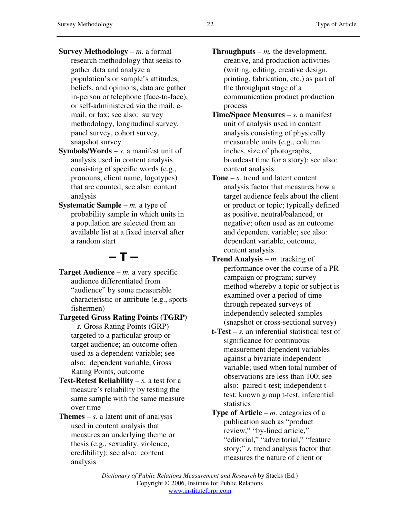- **Survey Methodology** *m.* a formal research methodology that seeks to gather data and analyze a population's or sample's attitudes, beliefs, and opinions; data are gather in-person or telephone (face-to-face), or self-administered via the mail, email, or fax; see also: survey methodology, longitudinal survey, panel survey, cohort survey, snapshot survey
- **Symbols/Words** *s.* a manifest unit of analysis used in content analysis consisting of specific words (e.g., pronouns, client name, logotypes) that are counted; see also: content analysis
- **Systematic Sample** *m.* a type of probability sample in which units in a population are selected from an available list at a fixed interval after a random start

### $-$  T  $-$

- **Target Audience** *m.* a very specific audience differentiated from "audience" by some measurable characteristic or attribute (e.g., sports fishermen)
- **Targeted Gross Rating Points (TGRP)** – *s.* Gross Rating Points (GRP) targeted to a particular group or target audience; an outcome often used as a dependent variable; see also: dependent variable, Gross Rating Points, outcome
- **Test-Retest Reliability** *s.* a test for a measure's reliability by testing the same sample with the same measure over time
- **Themes**  $s$ . a latent unit of analysis used in content analysis that measures an underlying theme or thesis (e.g., sexuality, violence, credibility); see also: content analysis
- **Throughputs** *m.* the development, creative, and production activities (writing, editing, creative design, printing, fabrication, etc.) as part of the throughput stage of a communication product production process
- **Time/Space Measures** *s.* a manifest unit of analysis used in content analysis consisting of physically measurable units (e.g., column inches, size of photographs, broadcast time for a story); see also: content analysis
- **Tone** *s.* trend and latent content analysis factor that measures how a target audience feels about the client or product or topic; typically defined as positive, neutral/balanced, or negative; often used as an outcome and dependent variable; see also: dependent variable, outcome, content analysis
- **Trend Analysis** *m.* tracking of performance over the course of a PR campaign or program; survey method whereby a topic or subject is examined over a period of time through repeated surveys of independently selected samples (snapshot or cross-sectional survey)
- **t-Test** *s.* an inferential statistical test of significance for continuous measurement dependent variables against a bivariate independent variable; used when total number of observations are less than 100; see also: paired t-test; independent ttest; known group t-test, inferential statistics
- **Type of Article** *m.* categories of a publication such as "product review," "by-lined article," "editorial," "advertorial," "feature story;" *s.* trend analysis factor that measures the nature of client or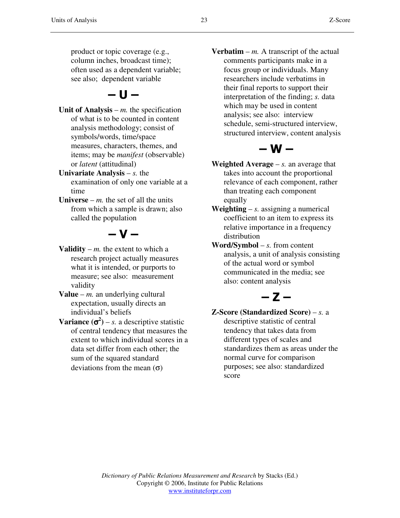product or topic coverage (e.g., column inches, broadcast time); often used as a dependent variable; see also; dependent variable

### – U –

- **Unit of Analysis**  $m$ . the specification of what is to be counted in content analysis methodology; consist of symbols/words, time/space measures, characters, themes, and items; may be *manifest* (observable) or *latent* (attitudinal)
- **Univariate Analysis** *s.* the examination of only one variable at a time
- **Universe**  $m$ , the set of all the units from which a sample is drawn; also called the population

### $-$  V  $-$

- **Validity**  $m$ . the extent to which a research project actually measures what it is intended, or purports to measure; see also: measurement validity
- **Value**  $m$ . an underlying cultural expectation, usually directs an individual's beliefs
- **Variance**  $(\sigma^2)$  *s.* a descriptive statistic of central tendency that measures the extent to which individual scores in a data set differ from each other; the sum of the squared standard deviations from the mean  $(\sigma)$

```
Verbatim – m. A transcript of the actual
comments participants make in a
focus group or individuals. Many
researchers include verbatims in
their final reports to support their
interpretation of the finding; s. data
which may be used in content
analysis; see also: interview
schedule, semi-structured interview,
structured interview, content analysis
```
### – W –

- **Weighted Average** *s.* an average that takes into account the proportional relevance of each component, rather than treating each component equally
- **Weighting**  $s$ . assigning a numerical coefficient to an item to express its relative importance in a frequency distribution
- **Word/Symbol** *s.* from content analysis, a unit of analysis consisting of the actual word or symbol communicated in the media; see also: content analysis

## – Z –

**Z-Score (Standardized Score)** – *s.* a descriptive statistic of central tendency that takes data from different types of scales and standardizes them as areas under the normal curve for comparison purposes; see also: standardized score